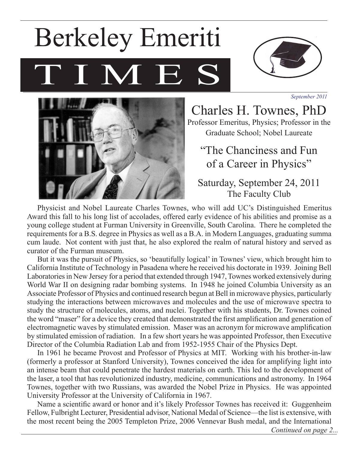# I M E Berkeley Emeriti



*September 2011*



Charles H. Townes, PhD Professor Emeritus, Physics; Professor in the Graduate School; Nobel Laureate

"The Chanciness and Fun of a Career in Physics"

Saturday, September 24, 2011 The Faculty Club

Physicist and Nobel Laureate Charles Townes, who will add UC's Distinguished Emeritus Award this fall to his long list of accolades, offered early evidence of his abilities and promise as a young college student at Furman University in Greenville, South Carolina. There he completed the requirements for a B.S. degree in Physics as well as a B.A. in Modern Languages, graduating summa cum laude. Not content with just that, he also explored the realm of natural history and served as curator of the Furman museum.

But it was the pursuit of Physics, so 'beautifully logical' in Townes' view, which brought him to California Institute of Technology in Pasadena where he received his doctorate in 1939. Joining Bell Laboratories in New Jersey for a period that extended through 1947, Townes worked extensively during World War II on designing radar bombing systems. In 1948 he joined Columbia University as an Associate Professor of Physics and continued research begun at Bell in microwave physics, particularly studying the interactions between microwaves and molecules and the use of microwave spectra to study the structure of molecules, atoms, and nuclei. Together with his students, Dr. Townes coined the word "maser" for a device they created that demonstrated the first amplification and generation of electromagnetic waves by stimulated emission. Maser was an acronym for microwave amplification by stimulated emission of radiation. In a few short years he was appointed Professor, then Executive Director of the Columbia Radiation Lab and from 1952-1955 Chair of the Physics Dept.

In 1961 he became Provost and Professor of Physics at MIT. Working with his brother-in-law (formerly a professor at Stanford University), Townes conceived the idea for amplifying light into an intense beam that could penetrate the hardest materials on earth. This led to the development of the laser, a tool that has revolutionized industry, medicine, communications and astronomy. In 1964 Townes, together with two Russians, was awarded the Nobel Prize in Physics. He was appointed University Professor at the University of California in 1967.

Name a scientific award or honor and it's likely Professor Townes has received it: Guggenheim Fellow, Fulbright Lecturer, Presidential advisor, National Medal of Science—the list is extensive, with the most recent being the 2005 Templeton Prize, 2006 Vennevar Bush medal, and the International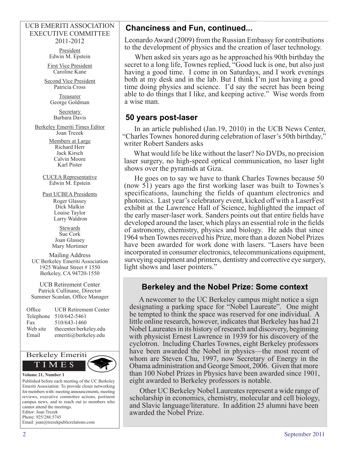### UCB EMERITI ASSOCIATION EXECUTIVE COMMITTEE 2011-2012

President Edwin M. Epstein

First Vice President Caroline Kane

Second Vice President Patricia Cross

> Treasurer George Goldman

Secretary Barbara Davis

Berkeley Emeriti Times Editor Joan Trezek

> Members at Large Richard Herr Jack Kirsch Calvin Moore Karl Pister

CUCEA Representative Edwin M. Epstein

Past UCBEA Presidents Roger Glassey Dick Malkin Louise Taylor Larry Waldron

> **Stewards** Sue Cork Joan Glassey Mary Mortimer

Mailing Address UC Berkeley Emeriti Association 1925 Walnut Street # 1550 Berkeley, CA 94720-1550

UCB Retirement Center Patrick Cullinane, Director Summer Scanlan, Office Manager

| Office    | <b>UCB Retirement Center</b> |
|-----------|------------------------------|
| Telephone | 510/642-5461                 |
| Fax       | 510/643-1460                 |
| Web site  | thecenter.berkeley.edu       |
| Email     | emeriti@berkeley.edu         |



#### **Volume 21, Number 1**

Published before each meeting of the UC Berkeley Emeriti Association: To provide closer networking for members with: meeting announcements, meeting reviews, executive committee actions, pertinent campus news, and to reach out to members who cannot attend the meetings. Editor: Joan Trezek Phone: 925/286.5745 Email: joan@trezekpublicrelations.com

# **Chanciness and Fun, continued...**

Leonardo Award (2009) from the Russian Embassy for contributions to the development of physics and the creation of laser technology.

When asked six years ago as he approached his 90th birthday the secret to a long life, Townes replied, "Good luck is one, but also just having a good time. I come in on Saturdays, and I work evenings both at my desk and in the lab. But I think I'm just having a good time doing physics and science. I'd say the secret has been being able to do things that I like, and keeping active." Wise words from a wise man.

## **50 years post-laser**

In an article published (Jan.19, 2010) in the UCB News Center, "Charles Townes honored during celebration of laser's 50th birthday," writer Robert Sanders asks

What would life be like without the laser? No DVDs, no precision laser surgery, no high-speed optical communication, no laser light shows over the pyramids at Giza.

He goes on to say we have to thank Charles Townes because 50 (now 51) years ago the first working laser was built to Townes's specifications, launching the fields of quantum electronics and photonics. Last year's celebratory event, kicked off with a LaserFest exhibit at the Lawrence Hall of Science, highlighted the impact of the early maser-laser work. Sanders points out that entire fields have developed around the laser, which plays an essential role in the fields of astronomy, chemistry, physics and biology. He adds that since 1964 when Townes received his Prize, more than a dozen Nobel Prizes have been awarded for work done with lasers. "Lasers have been incorporated in consumer electronics, telecommunications equipment, surveying equipment and printers, dentistry and corrective eye surgery, light shows and laser pointers."

# **Berkeley and the Nobel Prize: Some context**

A newcomer to the UC Berkeley campus might notice a sign designating a parking space for "Nobel Laureate". One might be tempted to think the space was reserved for one individual. A little online research, however, indicates that Berkeley has had 21 Nobel Laureates in its history of research and discovery, beginning with physicist Ernest Lawrence in 1939 for his discovery of the cyclotron. Including Charles Townes, eight Berkeley professors have been awarded the Nobel in physics—the most recent of whom are Steven Chu, 1997, now Secretary of Energy in the Obama administration and George Smoot, 2006. Given that more than 100 Nobel Prizes in Physics have been awarded since 1901, eight awarded to Berkeley professors is notable.

Other UC Berkeley Nobel Laureates represent a wide range of scholarship in economics, chemistry, molecular and cell biology, and Slavic language/literature. In addition 25 alumni have been awarded the Nobel Prize.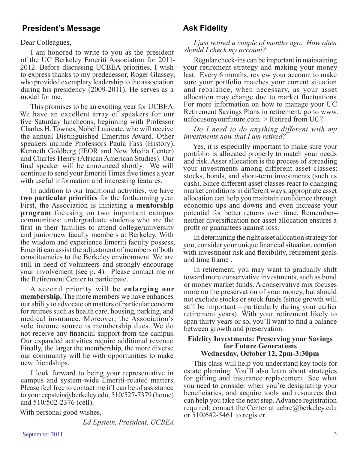## **President's Message**

Dear Colleagues,

I am honored to write to you as the president of the UC Berkeley Emeriti Association for 2011- 2012. Before discussing UCBEA priorities, I wish to express thanks to my predecessor, Roger Glassey, who provided exemplary leadership to the association during his presidency (2009-2011). He serves as a model for me.

This promises to be an exciting year for UCBEA. We have an excellent array of speakers for our five Saturday luncheons, beginning with Professor Charles H. Townes, Nobel Laureate, who will receive the annual Distinguished Emeritus Award. Other speakers include Professors Paula Fass (History), Kenneth Goldberg (IEOR and New Media Center) and Charles Henry (African American Studies). Our final speaker will be announced shortly. We will continue to send your Emeriti Times five times a year with useful information and interesting features.

In addition to our traditional activities, we have **two particular priorities** for the forthcoming year. First, the Association is initiating a **mentorship program** focusing on two important campus communities: undergraduate students who are the first in their families to attend college/university and junior/new faculty members at Berkeley. With the wisdom and experience Emeriti faculty possess, Emeriti can assist the adjustment of members of both constituencies to the Berkeley environment. We are still in need of volunteers and strongly encourage your involvement (see p. 4). Please contact me or the Retirement Center to participate.

A second priority will be **enlarging our membership.** The more members we have enhances our ability to advocate on matters of particular concern for retirees such as health care, housing, parking, and medical insurance. Moreover, the Association's sole income source is membership dues. We do not receive any financial support from the campus. Our expanded activities require additional revenue. Finally, the larger the membership, the more diverse our community will be with opportunities to make new friendships.

I look forward to being your representative in campus and system-wide Emeriti-related matters. Please feel free to contact me if I can be of assistance to you: eepstein@berkeley.edu, 510/527-7379 (home) and 510/502-2376 (cell).

With personal good wishes,

*Ed Epstein, President, UCBEA*

# **Ask Fidelity**

## *I just retired a couple of months ago. How often should I check my account?*

Regular check-ins can be important in maintaining your retirement strategy and making your money last. Every 6 months, review your account to make sure your portfolio matches your current situation and rebalance, when necessary, as your asset allocation may change due to market fluctuations. For more information on how to manage your UC Retirement Savings Plans in retirement, go to www. ucfocusonyourfuture.com > Retired from UC?

## *Do I need to do anything different with my investments now that I am retired?*

Yes, it is especially important to make sure your portfolio is allocated properly to match your needs and risk. Asset allocation is the process of spreading your investments among different asset classes: stocks, bonds, and short-term investments (such as cash). Since different asset classes react to changing market conditions in different ways, appropriate asset allocation can help you maintain confidence through economic ups and downs and even increase your potential for better returns over time. Remember- neither diversification nor asset allocation ensures a profit or guarantees against loss.

In determining the right asset allocation strategy for you, consider your unique financial situation, comfort with investment risk and flexibility, retirement goals and time frame .

In retirement, you may want to gradually shift toward more conservative investments, such as bond or money market funds. A conservative mix focuses more on the preservation of your money, but should not exclude stocks or stock funds (since growth will still be important – particularly during your earlier retirement years). With your retirement likely to span thirty years or so, you'll want to find a balance between growth and preservation.

## **Fidelity Investments: Preserving your Savings for Future Generations Wednesday, October 12, 2pm-3:30pm**

This class will help you understand key tools for estate planning. You'll also learn about strategies for gifting and insurance replacement. See what you need to consider when you're designating your beneficiaries, and acquire tools and resources that can help you take the next step. Advance registration required; contact the Center at ucbrc@berkeley.edu or 510/642-5461 to register.